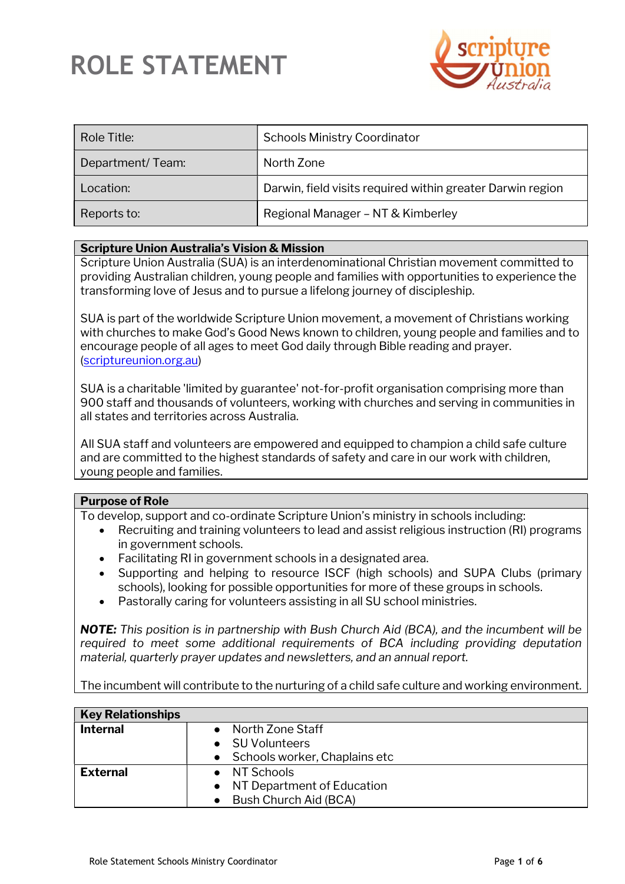

| Role Title:      | <b>Schools Ministry Coordinator</b>                        |
|------------------|------------------------------------------------------------|
| Department/Team: | North Zone                                                 |
| Location:        | Darwin, field visits required within greater Darwin region |
| Reports to:      | Regional Manager - NT & Kimberley                          |

#### Scripture Union Australia's Vision & Mission

Scripture Union Australia (SUA) is an interdenominational Christian movement committed to providing Australian children, young people and families with opportunities to experience the transforming love of Jesus and to pursue a lifelong journey of discipleship.

SUA is part of the worldwide Scripture Union movement, a movement of Christians working with churches to make God's Good News known to children, young people and families and to encourage people of all ages to meet God daily through Bible reading and prayer. (scriptureunion.org.au)

SUA is a charitable 'limited by guarantee' not-for-profit organisation comprising more than 900 staff and thousands of volunteers, working with churches and serving in communities in all states and territories across Australia.

All SUA staff and volunteers are empowered and equipped to champion a child safe culture and are committed to the highest standards of safety and care in our work with children, young people and families.

#### Purpose of Role

To develop, support and co-ordinate Scripture Union's ministry in schools including:

- Recruiting and training volunteers to lead and assist religious instruction (RI) programs in government schools.
- Facilitating RI in government schools in a designated area.
- Supporting and helping to resource ISCF (high schools) and SUPA Clubs (primary schools), looking for possible opportunities for more of these groups in schools.
- Pastorally caring for volunteers assisting in all SU school ministries.

NOTE: This position is in partnership with Bush Church Aid (BCA), and the incumbent will be required to meet some additional requirements of BCA including providing deputation material, quarterly prayer updates and newsletters, and an annual report.

The incumbent will contribute to the nurturing of a child safe culture and working environment.

| <b>Key Relationships</b> |                                 |
|--------------------------|---------------------------------|
| <b>Internal</b>          | • North Zone Staff              |
|                          | • SU Volunteers                 |
|                          | • Schools worker, Chaplains etc |
| <b>External</b>          | • NT Schools                    |
|                          | • NT Department of Education    |
|                          | • Bush Church Aid (BCA)         |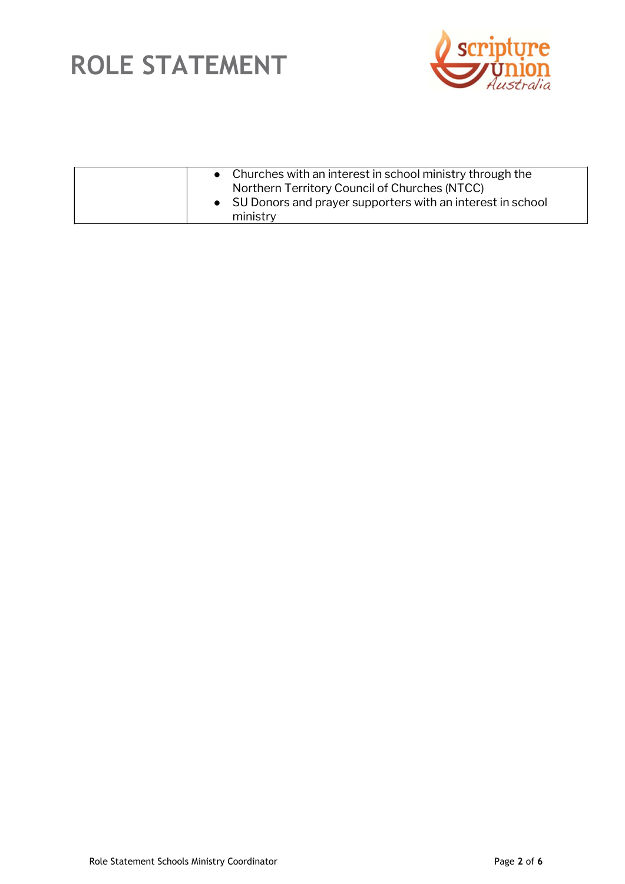



|  | $\bullet$ Churches with an interest in school ministry through the<br>Northern Territory Council of Churches (NTCC)<br>• SU Donors and prayer supporters with an interest in school<br>ministry |
|--|-------------------------------------------------------------------------------------------------------------------------------------------------------------------------------------------------|
|--|-------------------------------------------------------------------------------------------------------------------------------------------------------------------------------------------------|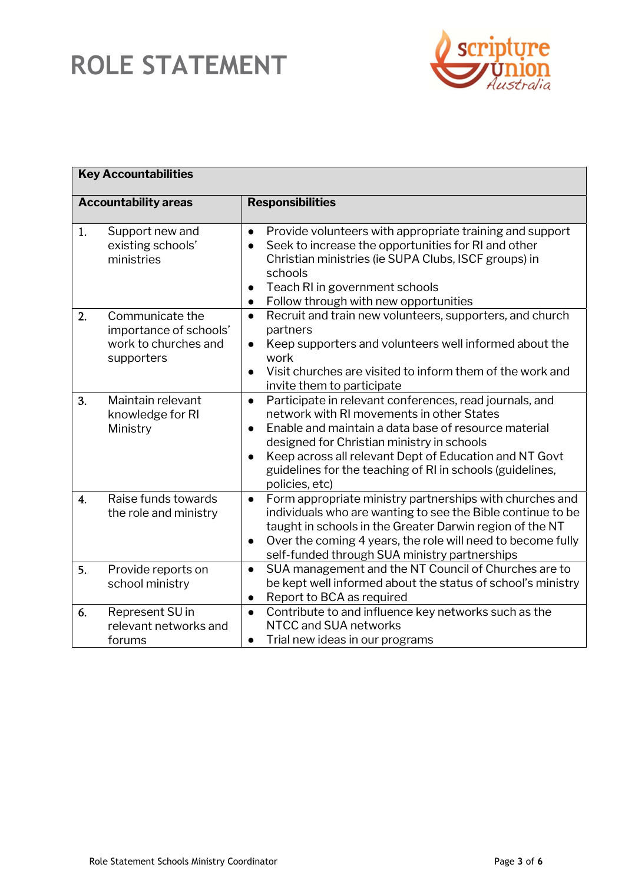

| <b>Key Accountabilities</b> |                                                                                 |                                                                                                                                                                                                                                                                                                                                                                                            |
|-----------------------------|---------------------------------------------------------------------------------|--------------------------------------------------------------------------------------------------------------------------------------------------------------------------------------------------------------------------------------------------------------------------------------------------------------------------------------------------------------------------------------------|
|                             | <b>Accountability areas</b>                                                     | <b>Responsibilities</b>                                                                                                                                                                                                                                                                                                                                                                    |
| 1.                          | Support new and<br>existing schools'<br>ministries                              | Provide volunteers with appropriate training and support<br>$\bullet$<br>Seek to increase the opportunities for RI and other<br>$\bullet$<br>Christian ministries (ie SUPA Clubs, ISCF groups) in<br>schools<br>Teach RI in government schools<br>$\bullet$<br>Follow through with new opportunities<br>$\bullet$                                                                          |
| 2.                          | Communicate the<br>importance of schools'<br>work to churches and<br>supporters | Recruit and train new volunteers, supporters, and church<br>$\bullet$<br>partners<br>Keep supporters and volunteers well informed about the<br>$\bullet$<br>work<br>Visit churches are visited to inform them of the work and<br>$\bullet$<br>invite them to participate                                                                                                                   |
| 3.                          | Maintain relevant<br>knowledge for RI<br>Ministry                               | Participate in relevant conferences, read journals, and<br>$\bullet$<br>network with RI movements in other States<br>Enable and maintain a data base of resource material<br>$\bullet$<br>designed for Christian ministry in schools<br>Keep across all relevant Dept of Education and NT Govt<br>$\bullet$<br>guidelines for the teaching of RI in schools (guidelines,<br>policies, etc) |
| 4.                          | Raise funds towards<br>the role and ministry                                    | Form appropriate ministry partnerships with churches and<br>$\bullet$<br>individuals who are wanting to see the Bible continue to be<br>taught in schools in the Greater Darwin region of the NT<br>Over the coming 4 years, the role will need to become fully<br>$\bullet$<br>self-funded through SUA ministry partnerships                                                              |
| 5.                          | Provide reports on<br>school ministry                                           | SUA management and the NT Council of Churches are to<br>$\bullet$<br>be kept well informed about the status of school's ministry<br>Report to BCA as required<br>$\bullet$                                                                                                                                                                                                                 |
| 6.                          | Represent SU in<br>relevant networks and<br>forums                              | Contribute to and influence key networks such as the<br>$\bullet$<br>NTCC and SUA networks<br>Trial new ideas in our programs<br>$\bullet$                                                                                                                                                                                                                                                 |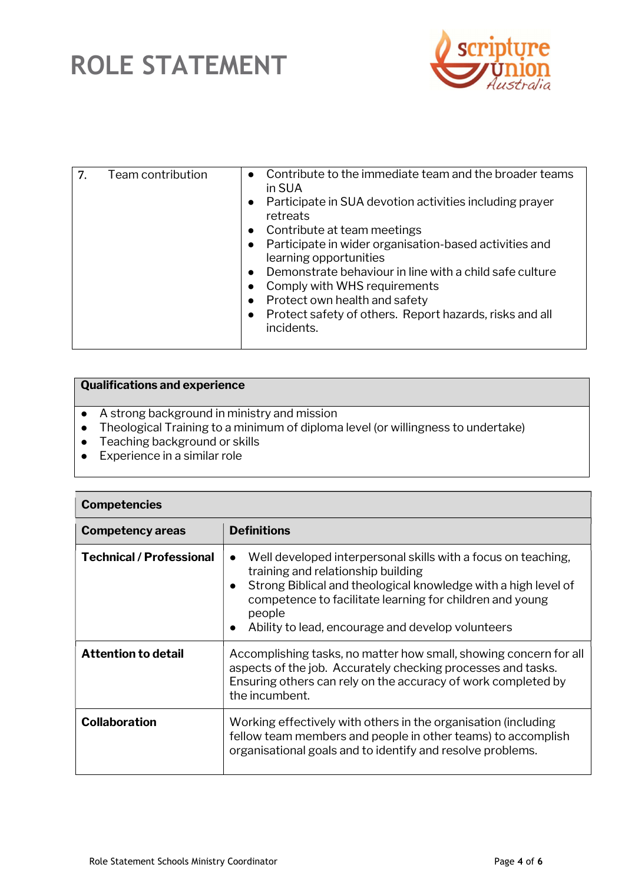

| 7. | Team contribution | Contribute to the immediate team and the broader teams<br>$\bullet$<br>in SUA<br>Participate in SUA devotion activities including prayer<br>$\bullet$<br>retreats<br>Contribute at team meetings<br>$\bullet$<br>Participate in wider organisation-based activities and<br>learning opportunities<br>Demonstrate behaviour in line with a child safe culture<br>$\bullet$ |
|----|-------------------|---------------------------------------------------------------------------------------------------------------------------------------------------------------------------------------------------------------------------------------------------------------------------------------------------------------------------------------------------------------------------|
|    |                   |                                                                                                                                                                                                                                                                                                                                                                           |
|    |                   |                                                                                                                                                                                                                                                                                                                                                                           |
|    |                   |                                                                                                                                                                                                                                                                                                                                                                           |
|    |                   | Comply with WHS requirements                                                                                                                                                                                                                                                                                                                                              |
|    |                   | Protect own health and safety<br>$\bullet$                                                                                                                                                                                                                                                                                                                                |
|    |                   | Protect safety of others. Report hazards, risks and all<br>$\bullet$<br>incidents.                                                                                                                                                                                                                                                                                        |
|    |                   |                                                                                                                                                                                                                                                                                                                                                                           |

### Qualifications and experience

- A strong background in ministry and mission
- Theological Training to a minimum of diploma level (or willingness to undertake)
- Teaching background or skills
- $\bullet$  Experience in a similar role

| <b>Competencies</b>             |                                                                                                                                                                                                                                                                                                               |
|---------------------------------|---------------------------------------------------------------------------------------------------------------------------------------------------------------------------------------------------------------------------------------------------------------------------------------------------------------|
| <b>Competency areas</b>         | <b>Definitions</b>                                                                                                                                                                                                                                                                                            |
| <b>Technical / Professional</b> | Well developed interpersonal skills with a focus on teaching,<br>$\bullet$<br>training and relationship building<br>Strong Biblical and theological knowledge with a high level of<br>competence to facilitate learning for children and young<br>people<br>Ability to lead, encourage and develop volunteers |
| <b>Attention to detail</b>      | Accomplishing tasks, no matter how small, showing concern for all<br>aspects of the job. Accurately checking processes and tasks.<br>Ensuring others can rely on the accuracy of work completed by<br>the incumbent.                                                                                          |
| <b>Collaboration</b>            | Working effectively with others in the organisation (including<br>fellow team members and people in other teams) to accomplish<br>organisational goals and to identify and resolve problems.                                                                                                                  |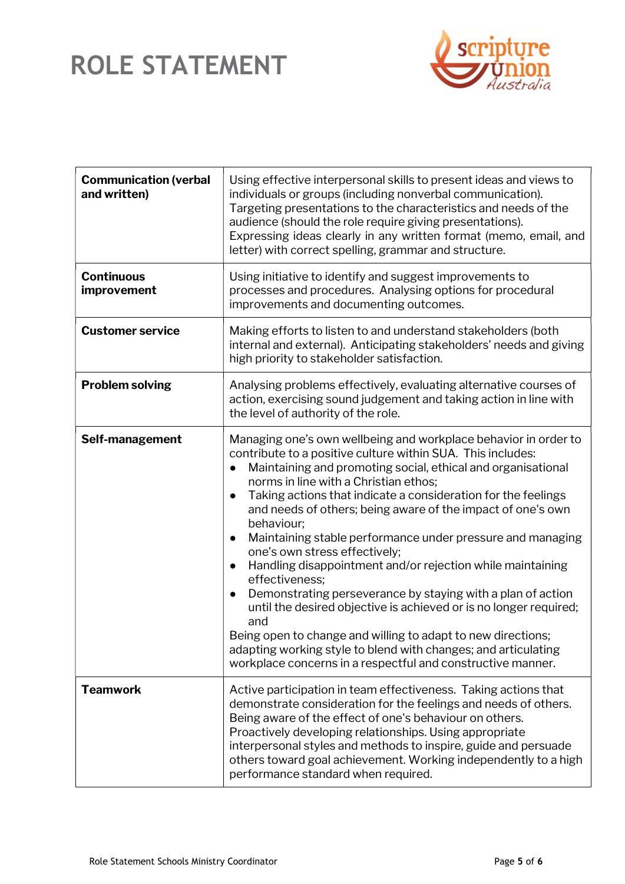

| <b>Communication (verbal</b><br>and written) | Using effective interpersonal skills to present ideas and views to<br>individuals or groups (including nonverbal communication).<br>Targeting presentations to the characteristics and needs of the<br>audience (should the role require giving presentations).<br>Expressing ideas clearly in any written format (memo, email, and<br>letter) with correct spelling, grammar and structure.                                                                                                                                                                                                                                                                                                                                                                                                                                                                                                                     |
|----------------------------------------------|------------------------------------------------------------------------------------------------------------------------------------------------------------------------------------------------------------------------------------------------------------------------------------------------------------------------------------------------------------------------------------------------------------------------------------------------------------------------------------------------------------------------------------------------------------------------------------------------------------------------------------------------------------------------------------------------------------------------------------------------------------------------------------------------------------------------------------------------------------------------------------------------------------------|
| <b>Continuous</b><br>improvement             | Using initiative to identify and suggest improvements to<br>processes and procedures. Analysing options for procedural<br>improvements and documenting outcomes.                                                                                                                                                                                                                                                                                                                                                                                                                                                                                                                                                                                                                                                                                                                                                 |
| <b>Customer service</b>                      | Making efforts to listen to and understand stakeholders (both<br>internal and external). Anticipating stakeholders' needs and giving<br>high priority to stakeholder satisfaction.                                                                                                                                                                                                                                                                                                                                                                                                                                                                                                                                                                                                                                                                                                                               |
| <b>Problem solving</b>                       | Analysing problems effectively, evaluating alternative courses of<br>action, exercising sound judgement and taking action in line with<br>the level of authority of the role.                                                                                                                                                                                                                                                                                                                                                                                                                                                                                                                                                                                                                                                                                                                                    |
| Self-management                              | Managing one's own wellbeing and workplace behavior in order to<br>contribute to a positive culture within SUA. This includes:<br>Maintaining and promoting social, ethical and organisational<br>norms in line with a Christian ethos;<br>Taking actions that indicate a consideration for the feelings<br>and needs of others; being aware of the impact of one's own<br>behaviour;<br>Maintaining stable performance under pressure and managing<br>one's own stress effectively;<br>Handling disappointment and/or rejection while maintaining<br>effectiveness:<br>Demonstrating perseverance by staying with a plan of action<br>until the desired objective is achieved or is no longer required;<br>and<br>Being open to change and willing to adapt to new directions;<br>adapting working style to blend with changes; and articulating<br>workplace concerns in a respectful and constructive manner. |
| <b>Teamwork</b>                              | Active participation in team effectiveness. Taking actions that<br>demonstrate consideration for the feelings and needs of others.<br>Being aware of the effect of one's behaviour on others.<br>Proactively developing relationships. Using appropriate<br>interpersonal styles and methods to inspire, guide and persuade<br>others toward goal achievement. Working independently to a high<br>performance standard when required.                                                                                                                                                                                                                                                                                                                                                                                                                                                                            |